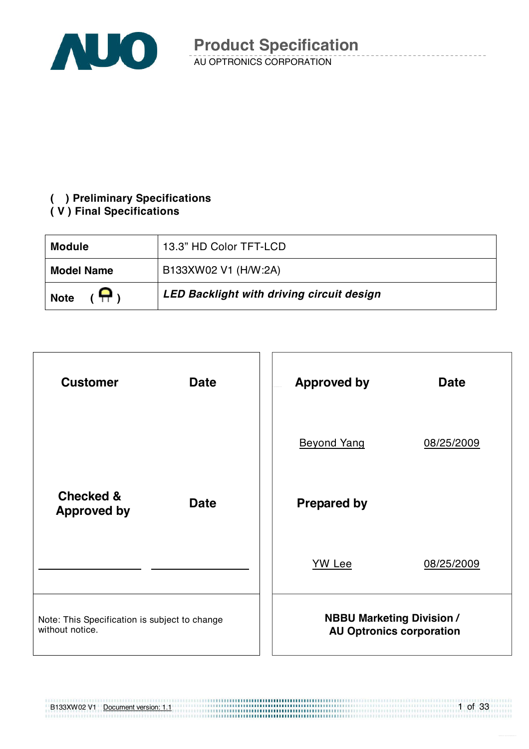

### **( ) Preliminary Specifications**

#### **( V ) Final Specifications**

| <b>Module</b>               | 13.3" HD Color TFT-LCD                           |
|-----------------------------|--------------------------------------------------|
| <b>Model Name</b>           | B133XW02 V1 (H/W:2A)                             |
| $(\bigoplus$<br><b>Note</b> | <b>LED Backlight with driving circuit design</b> |



B133XW02 V1 Document version: 1.1

1 of 33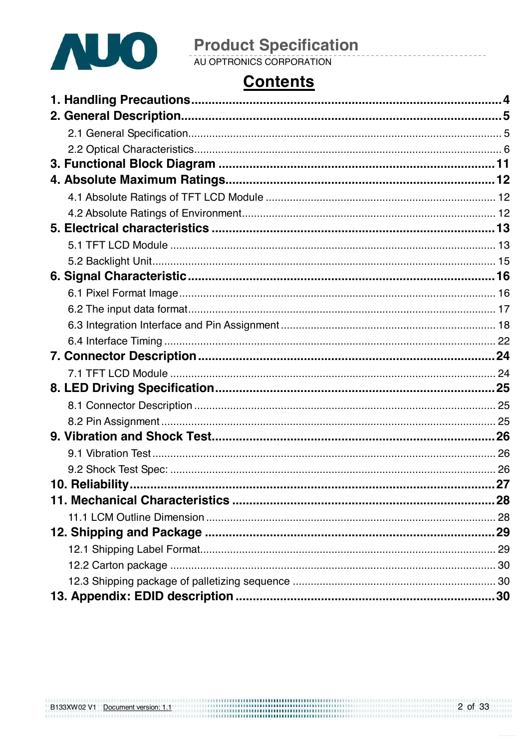

## **Contents**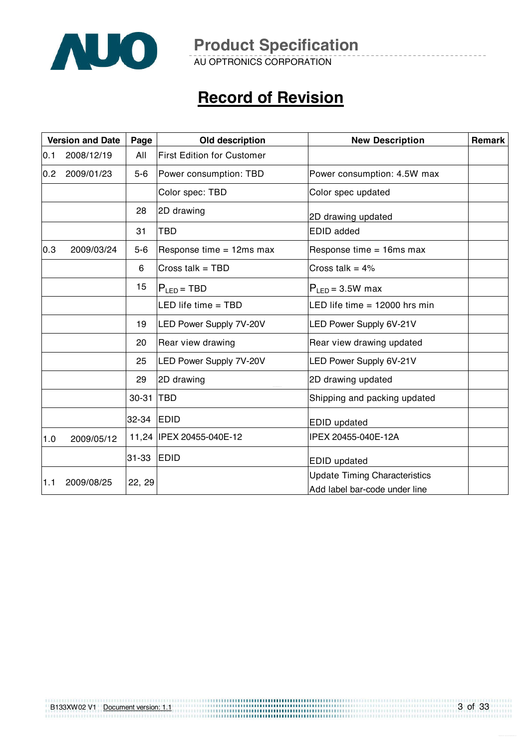

AU OPTRONICS CORPORATION

## **Record of Revision**

|     | <b>Version and Date</b><br>Page |         | Old description                   | <b>New Description</b>                                                | Remark |
|-----|---------------------------------|---------|-----------------------------------|-----------------------------------------------------------------------|--------|
| 0.1 | 2008/12/19                      | All     | <b>First Edition for Customer</b> |                                                                       |        |
| 0.2 | 2009/01/23                      | $5-6$   | Power consumption: TBD            | Power consumption: 4.5W max                                           |        |
|     |                                 |         | Color spec: TBD                   | Color spec updated                                                    |        |
|     |                                 | 28      | 2D drawing                        | 2D drawing updated                                                    |        |
|     |                                 | 31      | <b>TBD</b>                        | <b>EDID</b> added                                                     |        |
| 0.3 | 2009/03/24                      | $5 - 6$ | Response time $= 12$ ms max       | Response time $= 16$ ms max                                           |        |
|     |                                 | 6       | Cross talk = TBD                  | Cross talk = $4\%$                                                    |        |
|     |                                 | 15      | $P_{LED}$ = TBD                   | $P_{LED} = 3.5W$ max                                                  |        |
|     |                                 |         | LED life time = TBD               | LED life time $= 12000$ hrs min                                       |        |
|     |                                 | 19      | <b>LED Power Supply 7V-20V</b>    | LED Power Supply 6V-21V                                               |        |
|     |                                 | 20      | Rear view drawing                 | Rear view drawing updated                                             |        |
|     |                                 | 25      | <b>LED Power Supply 7V-20V</b>    | LED Power Supply 6V-21V                                               |        |
|     |                                 | 29      | 2D drawing                        | 2D drawing updated                                                    |        |
|     |                                 | 30-31   | <b>TBD</b>                        | Shipping and packing updated                                          |        |
|     |                                 | 32-34   | <b>EDID</b>                       | EDID updated                                                          |        |
| 1.0 | 2009/05/12                      |         | 11,24 IPEX 20455-040E-12          | IPEX 20455-040E-12A                                                   |        |
|     |                                 | 31-33   | <b>EDID</b>                       | <b>EDID</b> updated                                                   |        |
| 1.1 | 2009/08/25                      | 22, 29  |                                   | <b>Update Timing Characteristics</b><br>Add label bar-code under line |        |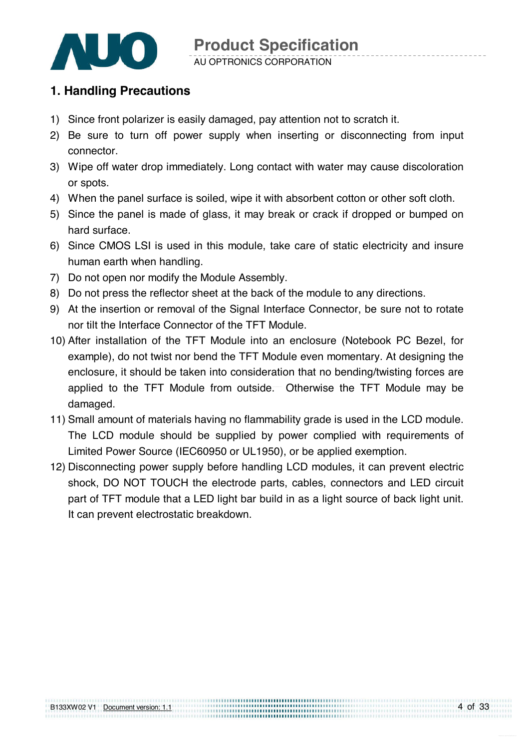

#### AU OPTRONICS CORPORATION

#### **1. Handling Precautions**

- 1) Since front polarizer is easily damaged, pay attention not to scratch it.
- 2) Be sure to turn off power supply when inserting or disconnecting from input connector.
- 3) Wipe off water drop immediately. Long contact with water may cause discoloration or spots.
- 4) When the panel surface is soiled, wipe it with absorbent cotton or other soft cloth.
- 5) Since the panel is made of glass, it may break or crack if dropped or bumped on hard surface.
- 6) Since CMOS LSI is used in this module, take care of static electricity and insure human earth when handling.
- 7) Do not open nor modify the Module Assembly.
- 8) Do not press the reflector sheet at the back of the module to any directions.
- 9) At the insertion or removal of the Signal Interface Connector, be sure not to rotate nor tilt the Interface Connector of the TFT Module.
- 10) After installation of the TFT Module into an enclosure (Notebook PC Bezel, for example), do not twist nor bend the TFT Module even momentary. At designing the enclosure, it should be taken into consideration that no bending/twisting forces are applied to the TFT Module from outside. $-$  Otherwise the TFT Module may be damaged.
- 11) Small amount of materials having no flammability grade is used in the LCD module. The LCD module should be supplied by power complied with requirements of Limited Power Source (IEC60950 or UL1950), or be applied exemption.
- 12) Disconnecting power supply before handling LCD modules, it can prevent electric shock, DO NOT TOUCH the electrode parts, cables, connectors and LED circuit part of TFT module that a LED light bar build in as a light source of back light unit. It can prevent electrostatic breakdown.

..............................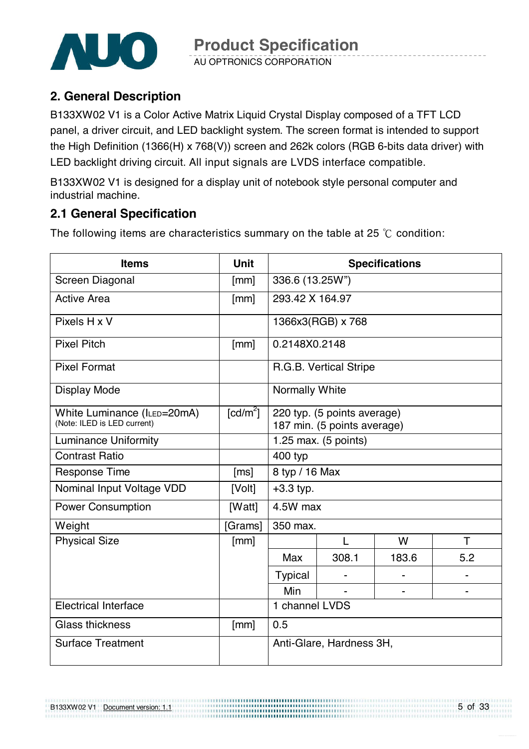

AU OPTRONICS CORPORATION

### **2. General Description**

B133XW02 V1 is a Color Active Matrix Liquid Crystal Display composed of a TFT LCD panel, a driver circuit, and LED backlight system. The screen format is intended to support the High Definition (1366(H) x 768(V)) screen and 262k colors (RGB 6-bits data driver) with LED backlight driving circuit. All input signals are LVDS interface compatible.

B133XW02 V1 is designed for a display unit of notebook style personal computer and industrial machine.

#### **2.1 General Specification**

The following items are characteristics summary on the table at 25  $\degree$ C condition:

| <b>Items</b>                                               | <b>Unit</b> |                 |                                                            | <b>Specifications</b> |                          |
|------------------------------------------------------------|-------------|-----------------|------------------------------------------------------------|-----------------------|--------------------------|
| <b>Screen Diagonal</b>                                     | [mm]        |                 | 336.6 (13.25W")                                            |                       |                          |
| <b>Active Area</b>                                         | [mm]        | 293.42 X 164.97 |                                                            |                       |                          |
| Pixels H x V                                               |             |                 | 1366x3(RGB) x 768                                          |                       |                          |
| <b>Pixel Pitch</b>                                         | [mm]        | 0.2148X0.2148   |                                                            |                       |                          |
| <b>Pixel Format</b>                                        |             |                 | R.G.B. Vertical Stripe                                     |                       |                          |
| <b>Display Mode</b>                                        |             | Normally White  |                                                            |                       |                          |
| White Luminance (ILED=20mA)<br>(Note: ILED is LED current) | [ $cd/m2$ ] |                 | 220 typ. (5 points average)<br>187 min. (5 points average) |                       |                          |
| <b>Luminance Uniformity</b>                                |             |                 | 1.25 max. $(5 \text{ points})$                             |                       |                          |
| <b>Contrast Ratio</b>                                      |             | 400 typ         |                                                            |                       |                          |
| <b>Response Time</b>                                       | [ms]        | 8 typ / 16 Max  |                                                            |                       |                          |
| Nominal Input Voltage VDD                                  | [Volt]      | $+3.3$ typ.     |                                                            |                       |                          |
| <b>Power Consumption</b>                                   | [Watt]      | 4.5W max        |                                                            |                       |                          |
| Weight                                                     | [Grams]     | 350 max.        |                                                            |                       |                          |
| <b>Physical Size</b>                                       | [mm]        |                 | L                                                          | W                     | $\top$                   |
|                                                            |             | Max             | 308.1                                                      | 183.6                 | 5.2                      |
|                                                            |             | <b>Typical</b>  |                                                            |                       | $\overline{\phantom{0}}$ |
|                                                            |             | Min             |                                                            | $\overline{a}$        |                          |
| <b>Electrical Interface</b>                                |             | 1 channel LVDS  |                                                            |                       |                          |
| <b>Glass thickness</b>                                     | [mm]        | 0.5             |                                                            |                       |                          |
| <b>Surface Treatment</b>                                   |             |                 | Anti-Glare, Hardness 3H,                                   |                       |                          |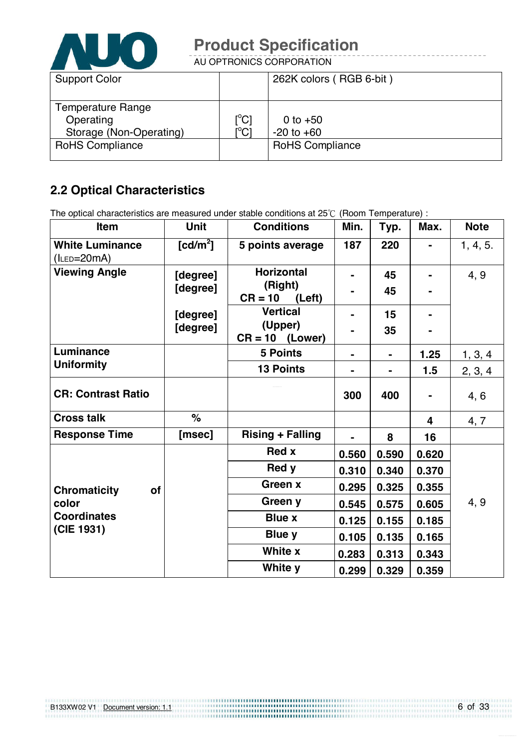

AU OPTRONICS CORPORATION

| <b>Support Color</b>    |                                                 | 262K colors (RGB 6-bit) |
|-------------------------|-------------------------------------------------|-------------------------|
|                         |                                                 |                         |
| Temperature Range       |                                                 |                         |
| Operating               | $[\mathrm{^{\circ}C}]$                          | 0 to $+50$              |
| Storage (Non-Operating) | $\overline{\rm I}^{\circ}\rm C\overline{\rm I}$ | $-20$ to $+60$          |
| <b>RoHS Compliance</b>  |                                                 | <b>RoHS Compliance</b>  |
|                         |                                                 |                         |

### **2.2 Optical Characteristics**

The optical characteristics are measured under stable conditions at  $25^{\circ}$  (Room Temperature) :

| Item                                       | <b>Unit</b>          | <b>Conditions</b>              | Min.  | Typ.  | Max.           | <b>Note</b> |
|--------------------------------------------|----------------------|--------------------------------|-------|-------|----------------|-------------|
| <b>White Luminance</b><br>$(l_{LED}=20mA)$ | [cd/m <sup>2</sup> ] | 5 points average               | 187   | 220   | $\blacksquare$ | 1, 4, 5.    |
| <b>Viewing Angle</b>                       | [degree]             | <b>Horizontal</b>              |       | 45    |                | 4, 9        |
|                                            | [degree]             | (Right)<br>$CR = 10$<br>(Left) |       | 45    |                |             |
|                                            | [degree]             | <b>Vertical</b>                |       | 15    |                |             |
|                                            | [degree]             | (Upper)<br>$CR = 10$ (Lower)   |       | 35    |                |             |
| Luminance                                  |                      | <b>5 Points</b>                |       | ۰.    | 1.25           | 1, 3, 4     |
| <b>Uniformity</b>                          |                      | <b>13 Points</b>               |       |       | 1.5            | 2, 3, 4     |
| <b>CR: Contrast Ratio</b>                  |                      |                                | 300   | 400   |                | 4, 6        |
| <b>Cross talk</b>                          | $\%$                 |                                |       |       | 4              | 4, 7        |
| <b>Response Time</b>                       | [msec]               | <b>Rising + Falling</b>        |       | 8     | 16             |             |
|                                            |                      | <b>Red x</b>                   | 0.560 | 0.590 | 0.620          |             |
|                                            |                      | Red y                          | 0.310 | 0.340 | 0.370          |             |
| <b>Chromaticity</b><br><b>of</b>           |                      | Green x                        | 0.295 | 0.325 | 0.355          |             |
| color<br><b>Coordinates</b>                |                      | Green y                        | 0.545 | 0.575 | 0.605          | 4, 9        |
|                                            |                      | <b>Blue x</b>                  | 0.125 | 0.155 | 0.185          |             |
| (CIE 1931)                                 |                      | <b>Blue y</b>                  | 0.105 | 0.135 | 0.165          |             |
|                                            |                      | White x                        | 0.283 | 0.313 | 0.343          |             |
|                                            |                      | White y                        | 0.299 | 0.329 | 0.359          |             |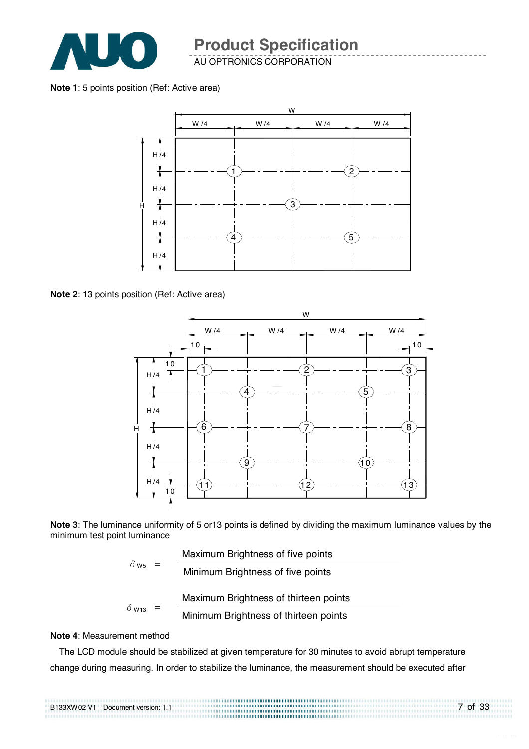

AU OPTRONICS CORPORATION

#### **Note 1**: 5 points position (Ref: Active area)



**Note 2**: 13 points position (Ref: Active area)



**Note 3**: The luminance uniformity of 5 or13 points is defined by dividing the maximum luminance values by the minimum test point luminance

| $\delta$ ws<br>$=$ |  | Maximum Brightness of five points     |
|--------------------|--|---------------------------------------|
|                    |  | Minimum Brightness of five points     |
|                    |  | Maximum Brightness of thirteen points |
| $\delta$ W13       |  | Minimum Brightness of thirteen points |

#### **Note 4**: Measurement method

The LCD module should be stabilized at given temperature for 30 minutes to avoid abrupt temperature change during measuring. In order to stabilize the luminance, the measurement should be executed after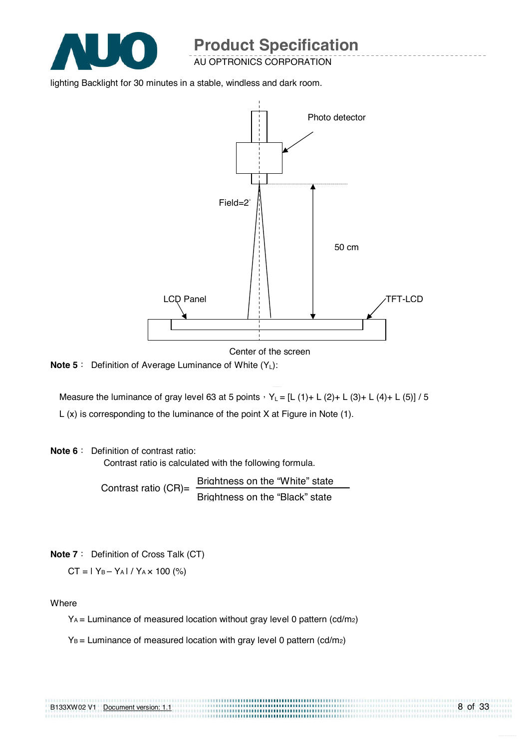

AU OPTRONICS CORPORATION

lighting Backlight for 30 minutes in a stable, windless and dark room.



Center of the screen

8 of 33

**Note 5** : Definition of Average Luminance of White (Y<sub>L</sub>):

Measure the luminance of gray level 63 at 5 points  $Y_L = [L (1) + L (2) + L (3) + L (4) + L (5)] / 5$ L (x) is corresponding to the luminance of the point X at Figure in Note (1).

#### **Note 6** : Definition of contrast ratio:

Contrast ratio is calculated with the following formula.

Contrast ratio  $(CR)$ = Brightness on the "White" state Brightness on the "Black" state

**Note 7** : Definition of Cross Talk (CT)

 $CT = |Y_B - Y_A| / Y_A \times 100$  (%)

#### **Where**

 $Y_A$  = Luminance of measured location without gray level 0 pattern (cd/m<sub>2</sub>)

 $Y_B$  = Luminance of measured location with gray level 0 pattern (cd/m<sub>2</sub>)

|  | B133XW02 V1 Document version: 1.1 |  |
|--|-----------------------------------|--|
|  |                                   |  |
|  |                                   |  |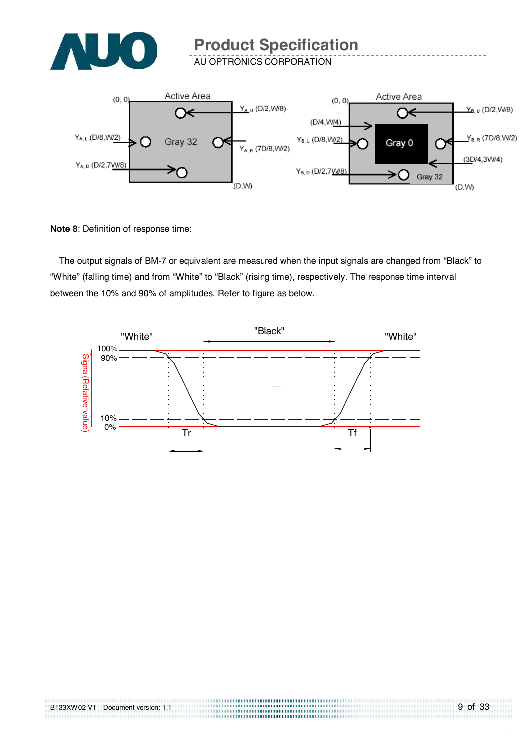

AU OPTRONICS CORPORATION



**Note 8**: Definition of response time:

The output signals of BM-7 or equivalent are measured when the input signals are changed from "Black" to "White" (falling time) and from "White" to "Black" (rising time), respectively. The response time interval between the 10% and 90% of amplitudes. Refer to figure as below.



,,,,,,,,,,,,,,,,,,,,,,,,,,,,,,,,,,,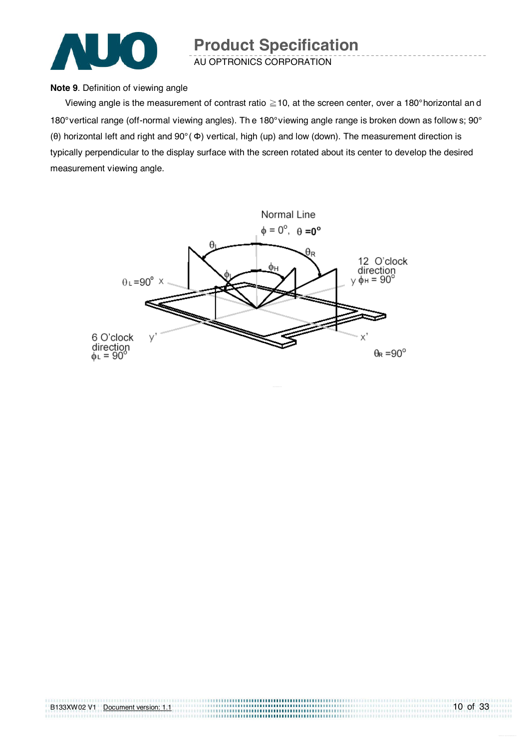

AU OPTRONICS CORPORATION

#### **Note 9**. Definition of viewing angle

Viewing angle is the measurement of contrast ratio  $\geq$  10, at the screen center, over a 180° horizontal an d 180° vertical range (off-normal viewing angles). Th e 180° viewing angle range is broken down as follow s; 90° (θ) horizontal left and right and 90° ( Φ) vertical, high (up) and low (down). The measurement direction is typically perpendicular to the display surface with the screen rotated about its center to develop the desired measurement viewing angle.

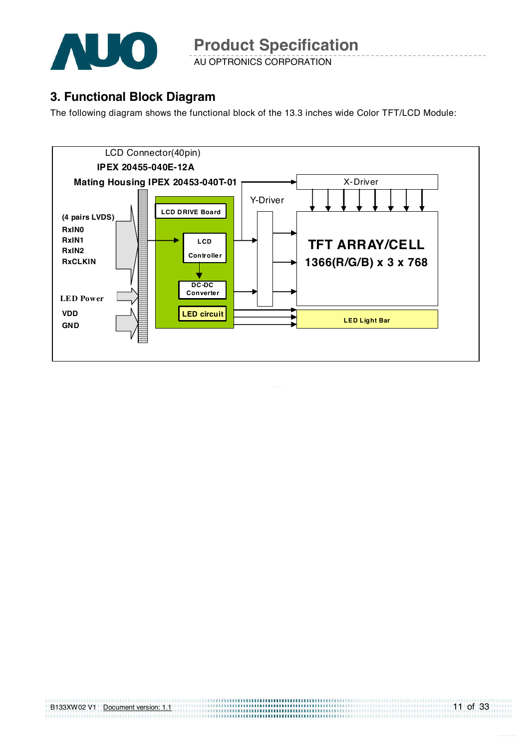

AU OPTRONICS CORPORATION

#### **3. Functional Block Diagram**

The following diagram shows the functional block of the 13.3 inches wide Color TFT/LCD Module:



| B133XW02 V1 | Document version: 1.1 |  |
|-------------|-----------------------|--|
|             |                       |  |

11 of 33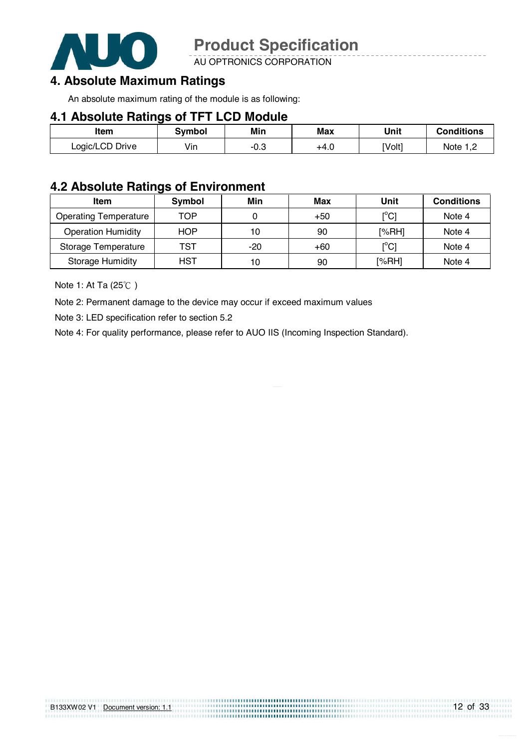

AU OPTRONICS CORPORATION

#### **4. Absolute Maximum Ratings**

An absolute maximum rating of the module is as following:

#### **4.1 Absolute Ratings of TFT LCD Module**

| <b>Item</b>     | Svmbol | Min    | Max  | Unit   | <b>Conditions</b> |
|-----------------|--------|--------|------|--------|-------------------|
| Logic/LCD Drive | Vin    | $-0.3$ | +4.0 | [Volt] | Note 1,2          |

#### **4.2 Absolute Ratings of Environment**

| <b>Item</b>                  | Symbol     | Min   | Max   | Unit                                    | <b>Conditions</b> |
|------------------------------|------------|-------|-------|-----------------------------------------|-------------------|
| <b>Operating Temperature</b> | TOP        |       | $+50$ | $\mathsf{I}^\circ\mathsf{C} \mathsf{I}$ | Note 4            |
| <b>Operation Humidity</b>    | <b>HOP</b> | 10    | 90    | [%RH]                                   | Note 4            |
| Storage Temperature          | TST        | $-20$ | $+60$ | $\mathsf{I}^\circ\mathsf{Cl}$           | Note 4            |
| <b>Storage Humidity</b>      | HST        | 10    | 90    | [%RH]                                   | Note 4            |

Note 1: At Ta  $(25^{\circ}$ C)

Note 2: Permanent damage to the device may occur if exceed maximum values

Note 3: LED specification refer to section 5.2

Note 4: For quality performance, please refer to AUO IIS (Incoming Inspection Standard).

| B133XW02 V1 Document version: 1.1 |  |  |  |
|-----------------------------------|--|--|--|
|                                   |  |  |  |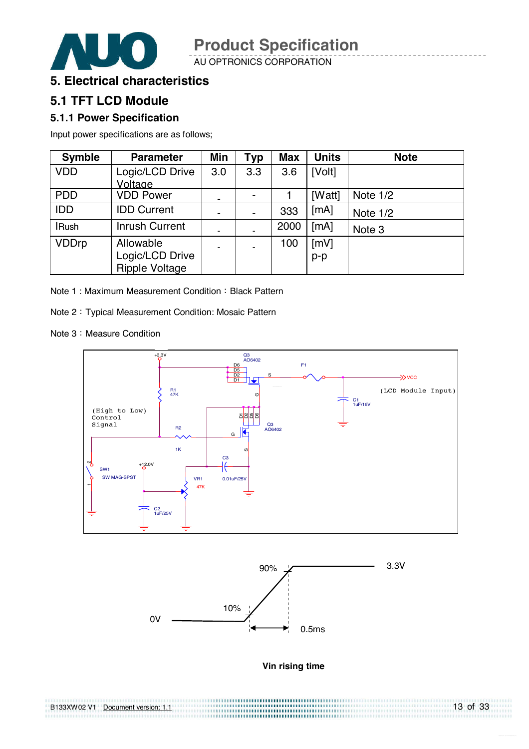AU OPTRONICS CORPORATION



#### **5. Electrical characteristics**

#### **5.1 TFT LCD Module**

#### **5.1.1 Power Specification**

Input power specifications are as follows;

| <b>Symble</b> | <b>Parameter</b>      | Min                      | <b>Typ</b> | <b>Max</b> | <b>Units</b> | <b>Note</b>       |
|---------------|-----------------------|--------------------------|------------|------------|--------------|-------------------|
| <b>VDD</b>    | Logic/LCD Drive       | 3.0                      | 3.3        | 3.6        | [Volt]       |                   |
|               | Voltage               |                          |            |            |              |                   |
| <b>PDD</b>    | <b>VDD Power</b>      | ۰                        |            |            | [Watt]       | Note 1/2          |
| <b>IDD</b>    | <b>IDD Current</b>    | $\overline{\phantom{0}}$ |            | 333        | [mA]         | Note 1/2          |
| <b>IRush</b>  | <b>Inrush Current</b> | ۰                        |            | 2000       | [mA]         | Note <sub>3</sub> |
| <b>VDDrp</b>  | Allowable             | ۰                        |            | 100        | [mV]         |                   |
|               | Logic/LCD Drive       |                          |            |            | $p-p$        |                   |
|               | <b>Ripple Voltage</b> |                          |            |            |              |                   |

Note 1 : Maximum Measurement Condition : Black Pattern

Note 2 : Typical Measurement Condition: Mosaic Pattern

Note 3 : Measure Condition





#### **Vin rising time**

| B133XW02 V1 Document version: 1.1 | 13 of 33 |
|-----------------------------------|----------|
|                                   |          |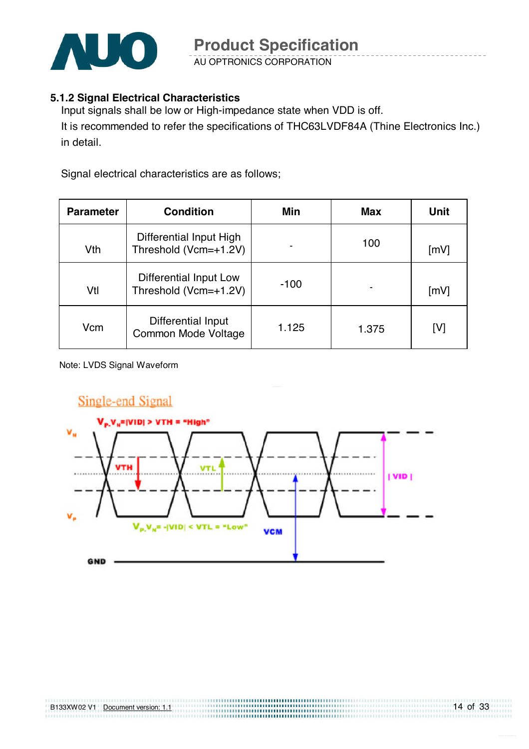

AU OPTRONICS CORPORATION

#### **5.1.2 Signal Electrical Characteristics**

Input signals shall be low or High-impedance state when VDD is off. It is recommended to refer the specifications of THC63LVDF84A (Thine Electronics Inc.) in detail.

Signal electrical characteristics are as follows;

| <b>Parameter</b> | <b>Condition</b>                                 | Min    | Max   | Unit |
|------------------|--------------------------------------------------|--------|-------|------|
| Vth              | Differential Input High<br>Threshold (Vcm=+1.2V) |        | 100   | [mV] |
| Vtl              | Differential Input Low<br>Threshold (Vcm=+1.2V)  | $-100$ |       | [mV] |
| Vcm              | Differential Input<br>Common Mode Voltage        | 1.125  | 1.375 | [V]  |

Note: LVDS Signal Waveform

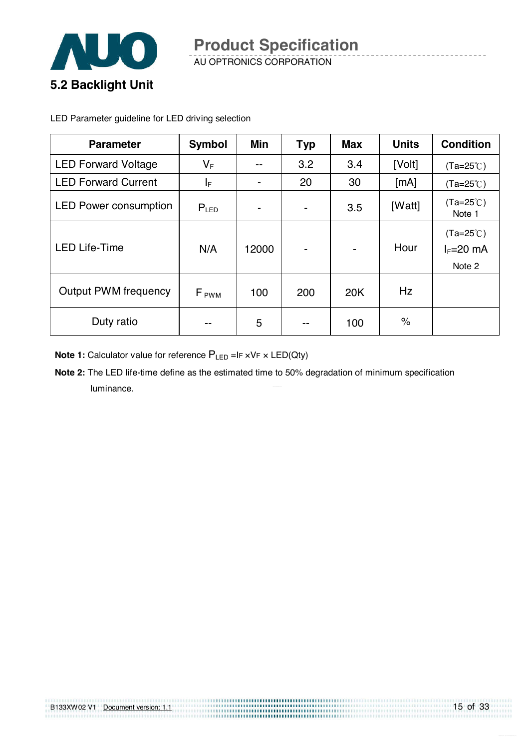

LED Parameter guideline for LED driving selection

| <b>Parameter</b>             | <b>Symbol</b>    | Min            | <b>Typ</b>               | <b>Max</b>               | <b>Units</b> | <b>Condition</b>                            |
|------------------------------|------------------|----------------|--------------------------|--------------------------|--------------|---------------------------------------------|
| <b>LED Forward Voltage</b>   | $V_{\mathsf{F}}$ | $- -$          | 3.2                      | 3.4                      | [Volt]       | $(Ta=25^{\circ}C)$                          |
| <b>LED Forward Current</b>   | ΙF               | $\blacksquare$ | 20                       | 30                       | [mA]         | $(Ta=25^{\circ}C)$                          |
| <b>LED Power consumption</b> | $P_{LED}$        |                | $\overline{\phantom{a}}$ | 3.5                      | [Watt]       | $(Ta=25^{\circ}C)$<br>Note 1                |
| <b>LED Life-Time</b>         | N/A              | 12000          | $\overline{\phantom{0}}$ | $\overline{\phantom{0}}$ | Hour         | $(Ta=25^{\circ}C)$<br>$I_F=20$ mA<br>Note 2 |
| <b>Output PWM frequency</b>  | F <sub>PWM</sub> | 100            | 200                      | 20K                      | Hz           |                                             |
| Duty ratio                   | --               | 5              | $- -$                    | 100                      | $\%$         |                                             |

**Note 1:** Calculator value for reference  $P_{LED}$  =IF xVF x LED(Qty)

**Note 2:** The LED life-time define as the estimated time to 50% degradation of minimum specification luminance.

| B133XW02 V1 | Document version: 1.1 |  |
|-------------|-----------------------|--|
|             |                       |  |
|             |                       |  |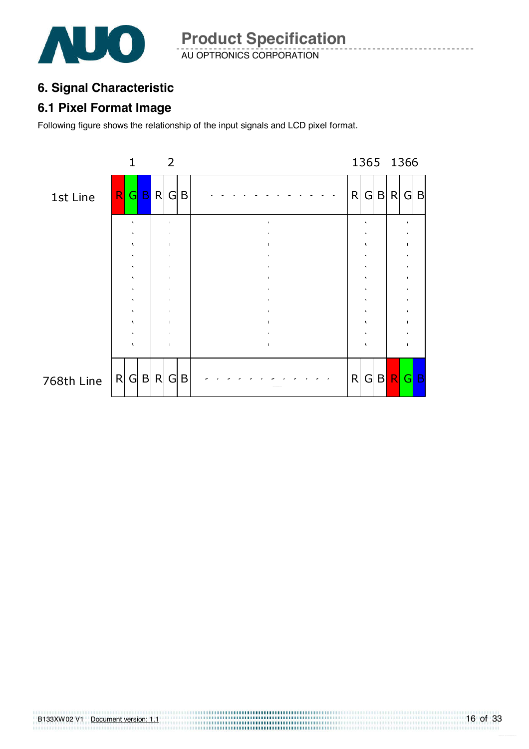

AU OPTRONICS CORPORATION **Product Specification** 

### **6. Signal Characteristic**

#### **6.1 Pixel Format Image**

Following figure shows the relationship of the input signals and LCD pixel format.

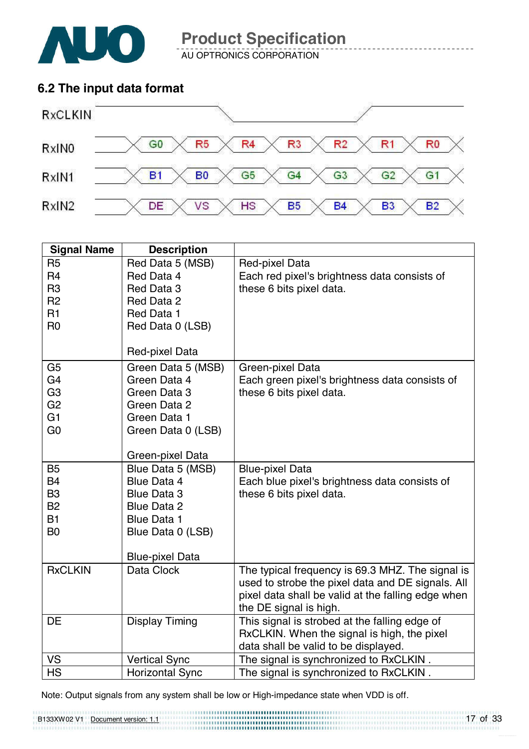

AU OPTRONICS CORPORATION

### **6.2 The input data format**



| <b>Signal Name</b> | <b>Description</b>     |                                                    |
|--------------------|------------------------|----------------------------------------------------|
| R <sub>5</sub>     | Red Data 5 (MSB)       | Red-pixel Data                                     |
| R <sub>4</sub>     | Red Data 4             | Each red pixel's brightness data consists of       |
| R <sub>3</sub>     | Red Data 3             | these 6 bits pixel data.                           |
| R <sub>2</sub>     | Red Data 2             |                                                    |
| R1                 | Red Data 1             |                                                    |
| R <sub>0</sub>     | Red Data 0 (LSB)       |                                                    |
|                    |                        |                                                    |
|                    | Red-pixel Data         |                                                    |
| G <sub>5</sub>     | Green Data 5 (MSB)     | Green-pixel Data                                   |
| G <sub>4</sub>     | Green Data 4           | Each green pixel's brightness data consists of     |
| G <sub>3</sub>     | Green Data 3           | these 6 bits pixel data.                           |
| G <sub>2</sub>     | Green Data 2           |                                                    |
| G <sub>1</sub>     | Green Data 1           |                                                    |
| G <sub>0</sub>     | Green Data 0 (LSB)     |                                                    |
|                    |                        |                                                    |
|                    | Green-pixel Data       |                                                    |
| <b>B5</b>          | Blue Data 5 (MSB)      | <b>Blue-pixel Data</b>                             |
| <b>B4</b>          | <b>Blue Data 4</b>     | Each blue pixel's brightness data consists of      |
| B <sub>3</sub>     | <b>Blue Data 3</b>     | these 6 bits pixel data.                           |
| <b>B2</b>          | <b>Blue Data 2</b>     |                                                    |
| <b>B1</b>          | <b>Blue Data 1</b>     |                                                    |
| B <sub>0</sub>     | Blue Data 0 (LSB)      |                                                    |
|                    | <b>Blue-pixel Data</b> |                                                    |
| <b>RxCLKIN</b>     | Data Clock             | The typical frequency is 69.3 MHZ. The signal is   |
|                    |                        | used to strobe the pixel data and DE signals. All  |
|                    |                        | pixel data shall be valid at the falling edge when |
|                    |                        | the DE signal is high.                             |
| DE                 | <b>Display Timing</b>  | This signal is strobed at the falling edge of      |
|                    |                        | RxCLKIN. When the signal is high, the pixel        |
|                    |                        | data shall be valid to be displayed.               |
| VS                 | <b>Vertical Sync</b>   | The signal is synchronized to RxCLKIN.             |
| <b>HS</b>          | <b>Horizontal Sync</b> | The signal is synchronized to RxCLKIN.             |

Note: Output signals from any system shall be low or High-impedance state when VDD is off.

B133XW02 V1 Document version: 1.1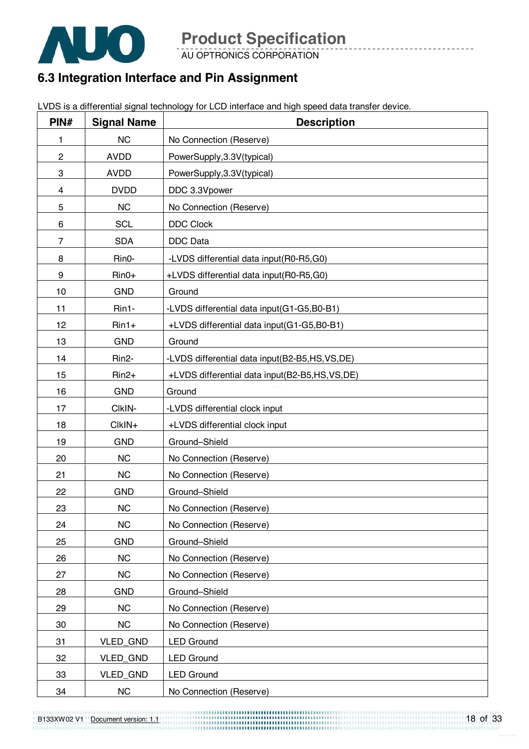

AU OPTRONICS CORPORATION

### **6.3 Integration Interface and Pin Assignment**

LVDS is a differential signal technology for LCD interface and high speed data transfer device.

| PIN#           | <b>Signal Name</b> | <b>Description</b>                              |
|----------------|--------------------|-------------------------------------------------|
| 1              | <b>NC</b>          | No Connection (Reserve)                         |
| $\overline{c}$ | <b>AVDD</b>        | PowerSupply, 3.3V(typical)                      |
| 3              | <b>AVDD</b>        | PowerSupply, 3.3V(typical)                      |
| 4              | <b>DVDD</b>        | DDC 3.3Vpower                                   |
| 5              | <b>NC</b>          | No Connection (Reserve)                         |
| 6              | <b>SCL</b>         | <b>DDC Clock</b>                                |
| $\overline{7}$ | <b>SDA</b>         | DDC Data                                        |
| 8              | Rin0-              | -LVDS differential data input(R0-R5,G0)         |
| 9              | $Rin0+$            | +LVDS differential data input(R0-R5,G0)         |
| 10             | <b>GND</b>         | Ground                                          |
| 11             | Rin1-              | -LVDS differential data input(G1-G5,B0-B1)      |
| 12             | $Rin1+$            | +LVDS differential data input(G1-G5,B0-B1)      |
| 13             | <b>GND</b>         | Ground                                          |
| 14             | Rin <sub>2</sub> - | -LVDS differential data input(B2-B5,HS,VS,DE)   |
| 15             | $Rin2+$            | +LVDS differential data input(B2-B5,HS, VS, DE) |
| 16             | <b>GND</b>         | Ground                                          |
| 17             | CIkIN-             | -LVDS differential clock input                  |
| 18             | CIkIN+             | +LVDS differential clock input                  |
| 19             | <b>GND</b>         | Ground-Shield                                   |
| 20             | <b>NC</b>          | No Connection (Reserve)                         |
| 21             | <b>NC</b>          | No Connection (Reserve)                         |
| 22             | <b>GND</b>         | Ground-Shield                                   |
| 23             | <b>NC</b>          | No Connection (Reserve)                         |
| 24             | <b>NC</b>          | No Connection (Reserve)                         |
| 25             | <b>GND</b>         | Ground-Shield                                   |
| 26             | NC                 | No Connection (Reserve)                         |
| 27             | <b>NC</b>          | No Connection (Reserve)                         |
| 28             | <b>GND</b>         | Ground-Shield                                   |
| 29             | NC                 | No Connection (Reserve)                         |
| 30             | <b>NC</b>          | No Connection (Reserve)                         |
| 31             | VLED_GND           | <b>LED Ground</b>                               |
| 32             | VLED_GND           | <b>LED Ground</b>                               |
| 33             | VLED_GND           | <b>LED Ground</b>                               |
| 34             | NC                 | No Connection (Reserve)                         |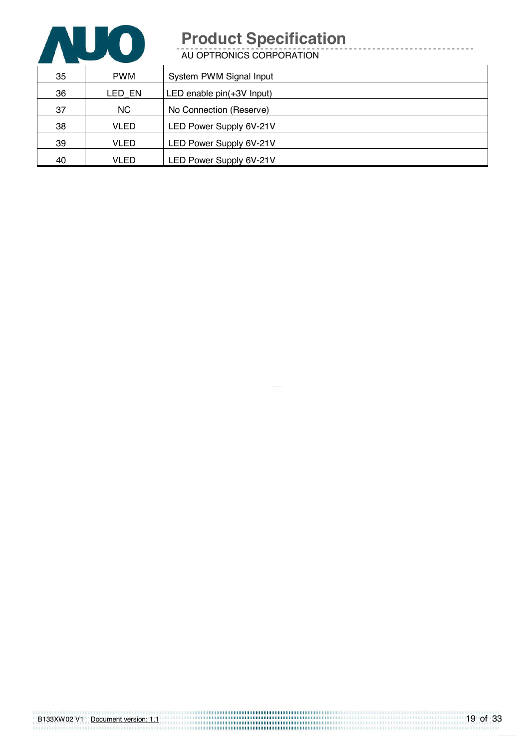

AU OPTRONICS CORPORATION

| 35 | <b>PWM</b>  | System PWM Signal Input   |
|----|-------------|---------------------------|
| 36 | LED_EN      | LED enable pin(+3V Input) |
| 37 | <b>NC</b>   | No Connection (Reserve)   |
| 38 | <b>VLED</b> | LED Power Supply 6V-21V   |
| 39 | <b>VLED</b> | LED Power Supply 6V-21V   |
| 40 | <b>VLED</b> | LED Power Supply 6V-21V   |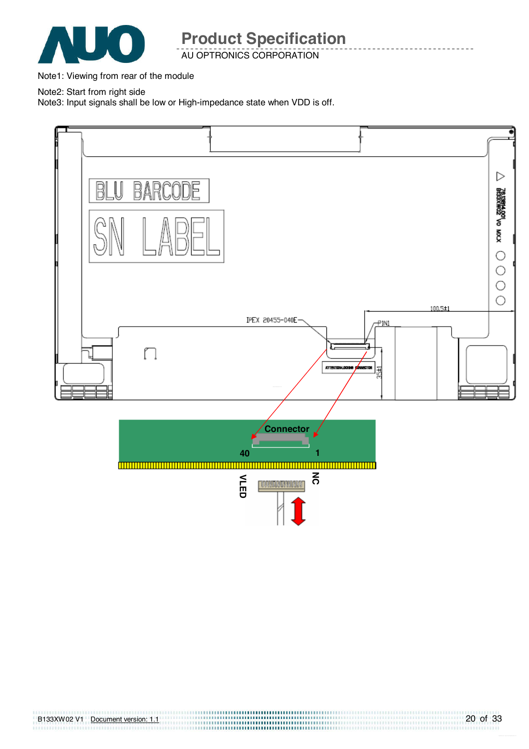

AU OPTRONICS CORPORATION

Note1: Viewing from rear of the module

Note2: Start from right side

Note3: Input signals shall be low or High-impedance state when VDD is off.



B133XW02 V1 Document version: 1.1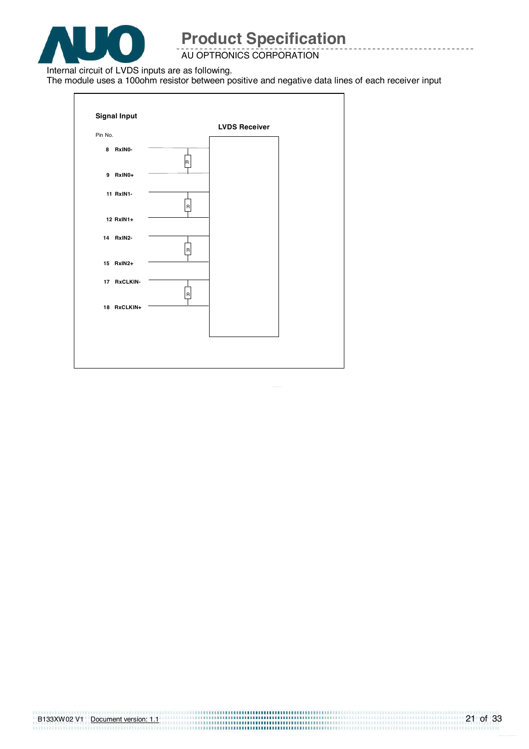

AU OPTRONICS CORPORATION

Internal circuit of LVDS inputs are as following.

The module uses a 100ohm resistor between positive and negative data lines of each receiver input

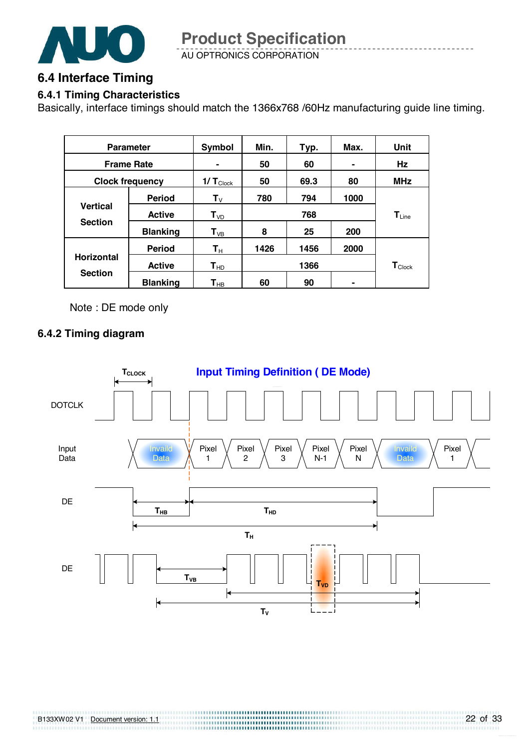

AU OPTRONICS CORPORATION **Product Specification** 

#### **6.4 Interface Timing**

#### **6.4.1 Timing Characteristics**

Basically, interface timings should match the 1366x768 /60Hz manufacturing guide line timing.

| <b>Parameter</b>                    |                 | Symbol                     | Min. | Typ. | Max.                         | Unit                        |
|-------------------------------------|-----------------|----------------------------|------|------|------------------------------|-----------------------------|
| <b>Frame Rate</b>                   |                 |                            | 50   | 60   |                              | Hz                          |
| <b>Clock frequency</b>              |                 | 1/ $T_{\text{Clock}}$      | 50   | 69.3 | 80                           | <b>MHz</b>                  |
| <b>Vertical</b><br><b>Section</b>   | <b>Period</b>   | $\mathsf{T}_{\mathsf{V}}$  | 780  | 794  | 1000                         |                             |
|                                     | <b>Active</b>   | $T_{VD}$                   | 768  |      | $\mathsf{T}_{\mathsf{Line}}$ |                             |
|                                     | <b>Blanking</b> | $T_{VB}$                   | 8    | 25   | 200                          |                             |
| <b>Horizontal</b><br><b>Section</b> | <b>Period</b>   | $\mathbf{T}_\text{H}$      | 1426 | 1456 | 2000                         |                             |
|                                     | <b>Active</b>   | $T_{HD}$                   |      | 1366 |                              | $\mathbf{T}_{\text{Clock}}$ |
|                                     | <b>Blanking</b> | $\mathsf{T}_{\mathsf{HB}}$ | 60   | 90   |                              |                             |

Note : DE mode only

#### **6.4.2 Timing diagram**

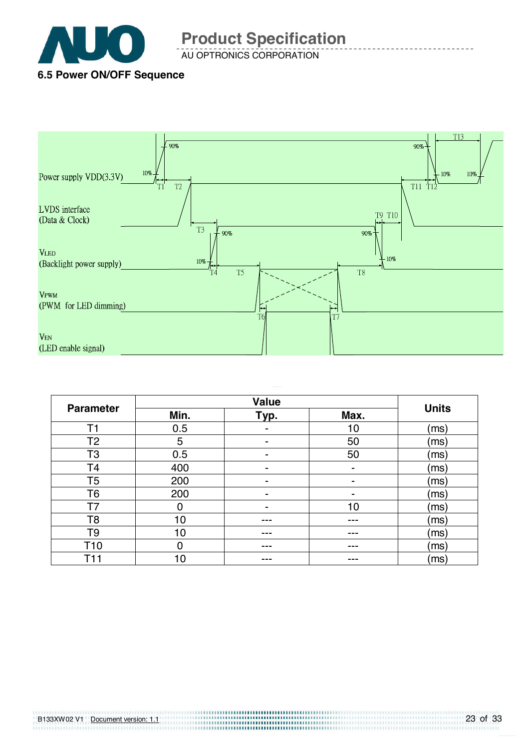

AU OPTRONICS CORPORATION **Product Specification** 

### **6.5 Power ON/OFF Sequence**



| <b>Parameter</b> | Min. | Typ. | Max.           | <b>Units</b> |
|------------------|------|------|----------------|--------------|
| Τ1               | 0.5  |      | 10             | (ms)         |
| T <sub>2</sub>   | 5    |      | 50             | (ms)         |
| T3               | 0.5  | -    | 50             | (ms)         |
| T4               | 400  | ۰    | $\blacksquare$ | (ms)         |
| T5               | 200  |      |                | (ms)         |
| Т6               | 200  |      | -              | (ms)         |
| T7               | 0    |      | 10             | (ms)         |
| T8               | 10   |      | ---            | (ms)         |
| T9               | 10   | ---  | ---            | (ms)         |
| T <sub>10</sub>  | 0    | ---  | ---            | (ms)         |
| 14               | 10   | ---  |                | (ms)         |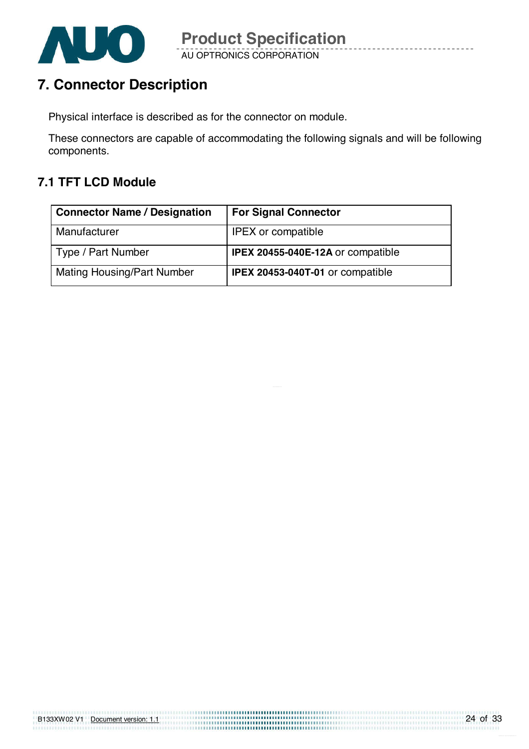

## **7. Connector Description**

Physical interface is described as for the connector on module.

These connectors are capable of accommodating the following signals and will be following components.

### **7.1 TFT LCD Module**

| <b>Connector Name / Designation</b> | <b>For Signal Connector</b>              |
|-------------------------------------|------------------------------------------|
| Manufacturer                        | <b>IPEX</b> or compatible                |
| Type / Part Number                  | <b>IPEX 20455-040E-12A or compatible</b> |
| <b>Mating Housing/Part Number</b>   | <b>IPEX 20453-040T-01 or compatible</b>  |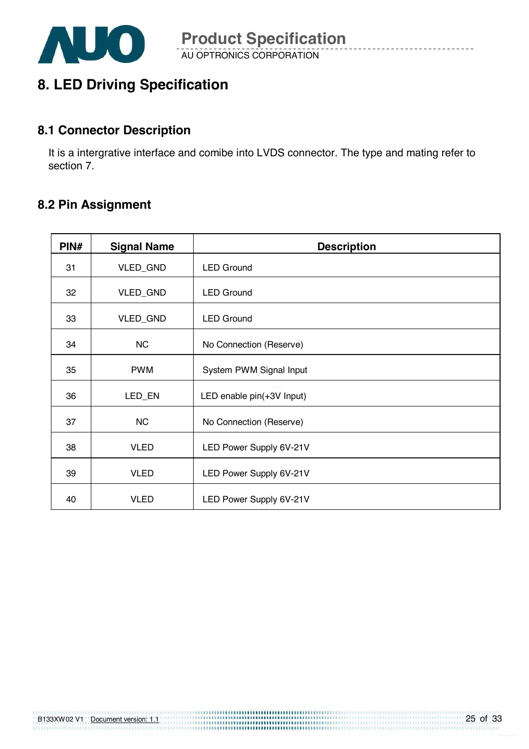

## **8. LED Driving Specification**

#### **8.1 Connector Description**

It is a intergrative interface and comibe into LVDS connector. The type and mating refer to section 7.

#### **8.2 Pin Assignment**

| PIN# | <b>Signal Name</b> | <b>Description</b>        |
|------|--------------------|---------------------------|
| 31   | VLED_GND           | <b>LED Ground</b>         |
| 32   | VLED_GND           | <b>LED Ground</b>         |
| 33   | VLED_GND           | <b>LED Ground</b>         |
| 34   | <b>NC</b>          | No Connection (Reserve)   |
| 35   | <b>PWM</b>         | System PWM Signal Input   |
| 36   | LED_EN             | LED enable pin(+3V Input) |
| 37   | <b>NC</b>          | No Connection (Reserve)   |
| 38   | <b>VLED</b>        | LED Power Supply 6V-21V   |
| 39   | <b>VLED</b>        | LED Power Supply 6V-21V   |
| 40   | <b>VLED</b>        | LED Power Supply 6V-21V   |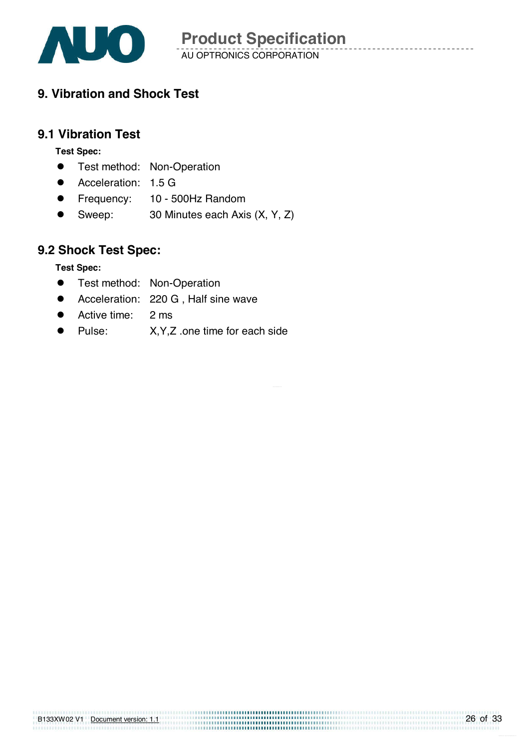

### **9. Vibration and Shock Test**

#### **9.1 Vibration Test**

**Test Spec:** 

- **•** Test method: Non-Operation
- **•** Acceleration: 1.5 G
- **•** Frequency: 10 500Hz Random
- Sweep: 30 Minutes each Axis (X, Y, Z)

### **9.2 Shock Test Spec:**

**Test Spec:** 

- **•** Test method: Non-Operation
- **•** Acceleration: 220 G, Half sine wave
- Active time: 2 ms
- Pulse: X, Y, Z .one time for each side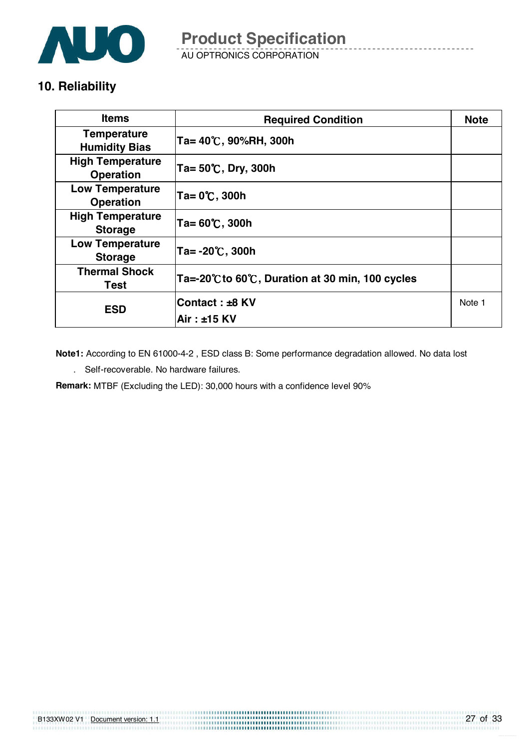

AU OPTRONICS CORPORATION **Product Specification** 

### **10. Reliability**

| <b>Items</b>                                | <b>Required Condition</b>                      | <b>Note</b> |
|---------------------------------------------|------------------------------------------------|-------------|
| <b>Temperature</b><br><b>Humidity Bias</b>  | Ta= 40℃, 90%RH, 300h                           |             |
| <b>High Temperature</b><br><b>Operation</b> | Ta= $50^{\circ}$ C, Dry, 300h                  |             |
| <b>Low Temperature</b><br><b>Operation</b>  | Ta= 0℃, 300h                                   |             |
| <b>High Temperature</b><br><b>Storage</b>   | $Ta = 60^{\circ}C$ , 300h                      |             |
| <b>Low Temperature</b><br><b>Storage</b>    | $Ta = -20^{\circ}C$ , 300h                     |             |
| <b>Thermal Shock</b><br><b>Test</b>         | Ta=-20℃ to 60℃, Duration at 30 min, 100 cycles |             |
| <b>ESD</b>                                  | Contact : ±8 KV                                | Note 1      |
|                                             | Air : ±15 KV                                   |             |

**Note1:** According to EN 61000-4-2 , ESD class B: Some performance degradation allowed. No data lost

. Self-recoverable. No hardware failures.

**Remark:** MTBF (Excluding the LED): 30,000 hours with a confidence level 90%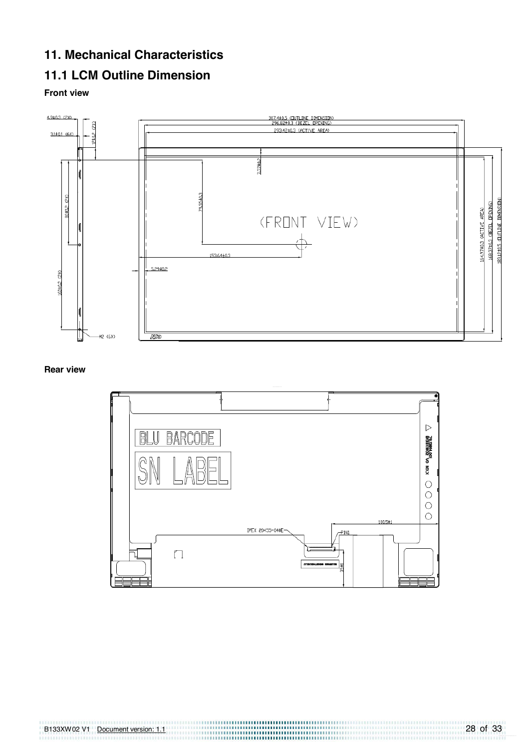### **11. Mechanical Characteristics**

### **11.1 LCM Outline Dimension**

#### **Front view**



#### **Rear view**

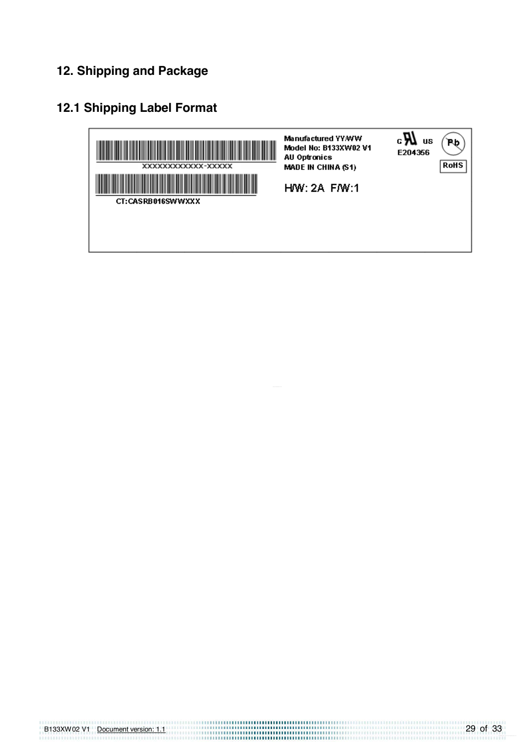### **12. Shipping and Package**

### **12.1 Shipping Label Format**

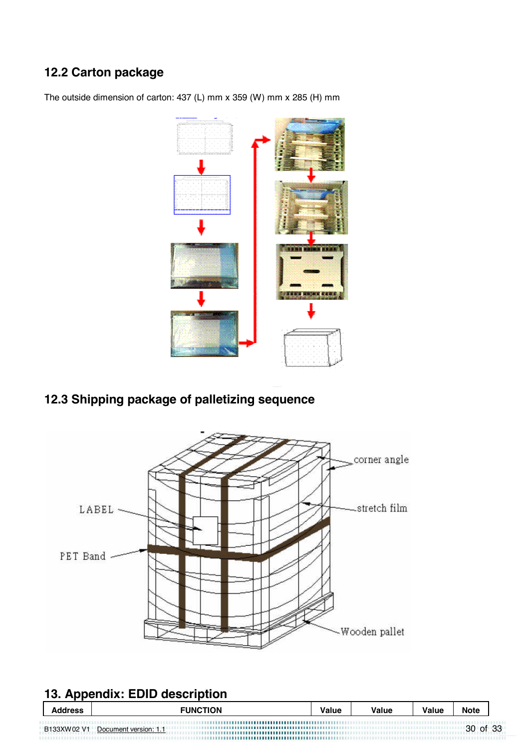### **12.2 Carton package**



The outside dimension of carton: 437 (L) mm x 359 (W) mm x 285 (H) mm

### **12.3 Shipping package of palletizing sequence**



### **13. Appendix: EDID description**

| <b>Address</b> | <b>FUNCTION</b>       | Value | Value | Value | <b>Note</b> |  |
|----------------|-----------------------|-------|-------|-------|-------------|--|
| B133XW02 V1    | Document version: 1.1 |       |       |       | 30 of 33    |  |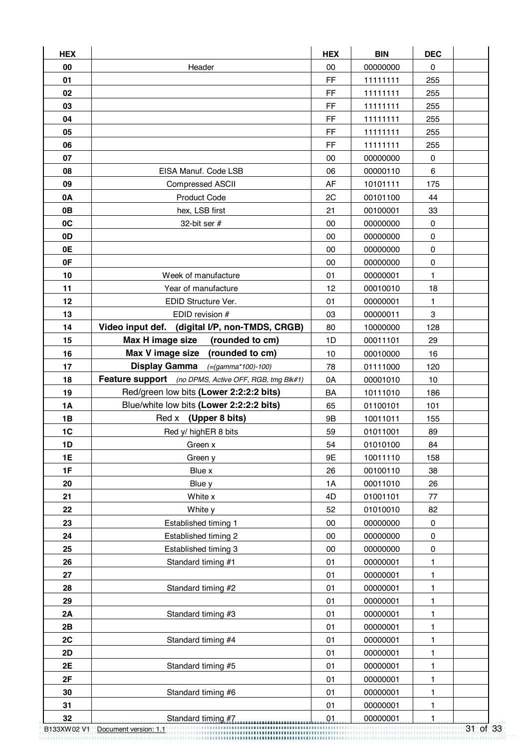| <b>HEX</b> |                                                       | <b>HEX</b> | <b>BIN</b> | <b>DEC</b>   |  |
|------------|-------------------------------------------------------|------------|------------|--------------|--|
| 00         | Header                                                | 00         | 00000000   | $\pmb{0}$    |  |
| 01         |                                                       | FF         | 11111111   | 255          |  |
| 02         |                                                       | <b>FF</b>  | 11111111   | 255          |  |
| 03         |                                                       | FF         | 11111111   | 255          |  |
| 04         |                                                       | FF         | 11111111   | 255          |  |
| 05         |                                                       | FF         | 11111111   | 255          |  |
| 06         |                                                       | FF         | 11111111   | 255          |  |
| 07         |                                                       | 00         | 00000000   | $\mathbf 0$  |  |
| 08         | EISA Manuf. Code LSB                                  | 06         | 00000110   | 6            |  |
| 09         | <b>Compressed ASCII</b>                               | AF         | 10101111   | 175          |  |
| 0A         | <b>Product Code</b>                                   | 2C         | 00101100   | 44           |  |
| 0B         | hex, LSB first                                        | 21         | 00100001   | 33           |  |
| 0C         | 32-bit ser $#$                                        | 00         | 00000000   | 0            |  |
| 0D         |                                                       | 00         | 00000000   | $\mathbf 0$  |  |
| 0E         |                                                       | 00         | 00000000   | $\pmb{0}$    |  |
| 0F         |                                                       | 00         | 00000000   | $\mathbf 0$  |  |
| 10         | Week of manufacture                                   | 01         | 00000001   | $\mathbf{1}$ |  |
| 11         | Year of manufacture                                   | 12         | 00010010   | 18           |  |
| 12         | EDID Structure Ver.                                   | 01         | 00000001   | 1            |  |
| 13         | EDID revision #                                       | 03         | 00000011   | 3            |  |
| 14         | Video input def. (digital I/P, non-TMDS, CRGB)        | 80         | 10000000   | 128          |  |
| 15         | Max H image size<br>(rounded to cm)                   | 1D         | 00011101   | 29           |  |
| 16         | Max V image size (rounded to cm)                      | 10         | 00010000   | 16           |  |
| 17         | Display Gamma $(=(gamma * 100) - 100)$                | 78         | 01111000   | 120          |  |
| 18         | Feature support (no DPMS, Active OFF, RGB, tmg Blk#1) | 0A         | 00001010   | 10           |  |
| 19         | Red/green low bits (Lower 2:2:2:2 bits)               | <b>BA</b>  | 10111010   | 186          |  |
| <b>1A</b>  | Blue/white low bits (Lower 2:2:2:2 bits)              | 65         | 01100101   | 101          |  |
| 1B         | Red x (Upper 8 bits)                                  | <b>9B</b>  | 10011011   | 155          |  |
| 1C         | Red y/ highER 8 bits                                  | 59         | 01011001   | 89           |  |
| 1D         | Green x                                               | 54         | 01010100   | 84           |  |
| 1E         | Green y                                               | 9E         | 10011110   | 158          |  |
| 1F         | Blue x                                                | 26         | 00100110   | 38           |  |
| 20         | Blue y                                                | 1A         | 00011010   | 26           |  |
| 21         | White x                                               | 4D         | 01001101   | 77           |  |
| 22         | White y                                               | 52         | 01010010   | 82           |  |
| 23         | Established timing 1                                  | $00\,$     | 00000000   | $\pmb{0}$    |  |
| 24         | Established timing 2                                  | 00         | 00000000   | $\mathbf 0$  |  |
| 25         | Established timing 3                                  | 00         | 00000000   | $\pmb{0}$    |  |
| 26         | Standard timing #1                                    | 01         | 00000001   | 1            |  |
| 27         |                                                       | 01         | 00000001   | 1            |  |
| 28         | Standard timing #2                                    | 01         | 00000001   | 1            |  |
| 29         |                                                       | 01         | 00000001   | 1            |  |
| 2A         | Standard timing #3                                    | 01         | 00000001   | 1            |  |
| 2B         |                                                       | 01         | 00000001   | $\mathbf{1}$ |  |
| 2C         | Standard timing #4                                    | 01         | 00000001   | 1            |  |
| 2D         |                                                       | 01         | 00000001   | 1            |  |
| 2E         | Standard timing #5                                    | 01         | 00000001   | 1            |  |
| 2F         |                                                       | 01         | 00000001   | 1            |  |
| 30         | Standard timing #6                                    | 01         | 00000001   | $\mathbf{1}$ |  |
| 31         |                                                       | 01         | 00000001   | 1            |  |
| 32         | Standard timing #7.                                   | .01        | 00000001   | $\mathbf{1}$ |  |

B133XW02 V1 Document version: 1.1 31 of 33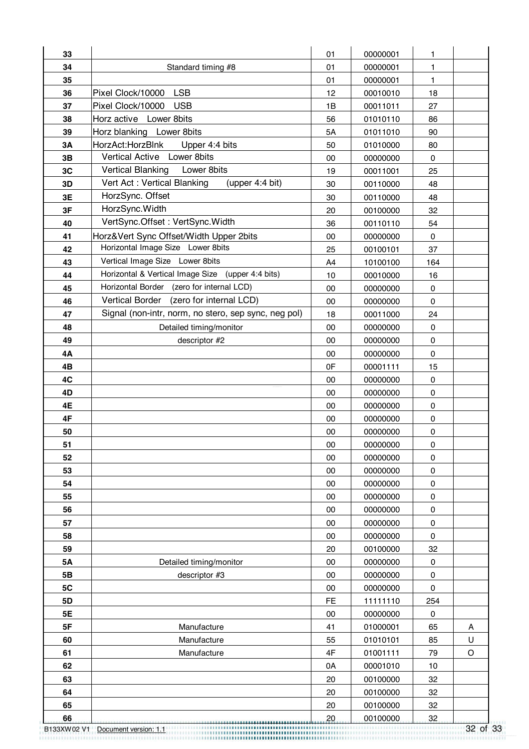| 33        |                                                      | 01        | 00000001 | 1           |         |
|-----------|------------------------------------------------------|-----------|----------|-------------|---------|
| 34        | Standard timing #8                                   | 01        | 00000001 | 1           |         |
| 35        |                                                      | 01        | 00000001 | 1           |         |
| 36        | <b>LSB</b><br>Pixel Clock/10000                      | 12        | 00010010 | 18          |         |
| 37        | Pixel Clock/10000<br><b>USB</b>                      | 1B        | 00011011 | 27          |         |
| 38        | Horz active Lower 8bits                              | 56        | 01010110 | 86          |         |
| 39        | Horz blanking Lower 8bits                            | 5A        | 01011010 | 90          |         |
| 3A        | HorzAct:HorzBlnk<br>Upper 4:4 bits                   | 50        | 01010000 | 80          |         |
| 3B        | Vertical Active Lower 8bits                          | 00        | 00000000 | $\mathbf 0$ |         |
| 3C        | <b>Vertical Blanking</b><br>Lower 8bits              | 19        | 00011001 | 25          |         |
| 3D        | Vert Act: Vertical Blanking<br>(upper 4:4 bit)       | 30        | 00110000 | 48          |         |
| 3E        | HorzSync. Offset                                     | 30        | 00110000 | 48          |         |
| 3F        | HorzSync. Width                                      | 20        | 00100000 | 32          |         |
| 40        | VertSync.Offset: VertSync.Width                      | 36        | 00110110 | 54          |         |
| 41        | Horz‖ Sync Offset/Width Upper 2bits                  | 00        | 00000000 | $\pmb{0}$   |         |
| 42        | Horizontal Image Size Lower 8bits                    | 25        | 00100101 | 37          |         |
| 43        | Vertical Image Size Lower 8bits                      | A4        | 10100100 | 164         |         |
| 44        | Horizontal & Vertical Image Size (upper 4:4 bits)    | 10        | 00010000 | 16          |         |
| 45        | Horizontal Border (zero for internal LCD)            | 00        | 00000000 | 0           |         |
| 46        | Vertical Border (zero for internal LCD)              | 00        | 00000000 | $\mathbf 0$ |         |
| 47        | Signal (non-intr, norm, no stero, sep sync, neg pol) | 18        | 00011000 | 24          |         |
| 48        | Detailed timing/monitor                              | 00        | 00000000 | $\mathbf 0$ |         |
| 49        | descriptor #2                                        | 00        | 00000000 | $\mathsf 0$ |         |
| 4Α        |                                                      | 00        | 00000000 | $\mathbf 0$ |         |
| 4B        |                                                      | 0F        | 00001111 | 15          |         |
| 4C        |                                                      | 00        | 00000000 | $\mathbf 0$ |         |
| 4D        |                                                      | 00        | 00000000 | $\mathbf 0$ |         |
| 4E        |                                                      | 00        | 00000000 | 0           |         |
| 4F        |                                                      | 00        | 00000000 | $\mathbf 0$ |         |
| 50        |                                                      | 00        | 00000000 | $\pmb{0}$   |         |
| 51        |                                                      | $00\,$    | 00000000 | 0           |         |
| 52        |                                                      | 00        | 00000000 | 0           |         |
| 53        |                                                      | $00\,$    | 00000000 | $\pmb{0}$   |         |
| 54        |                                                      | 00        | 00000000 | $\pmb{0}$   |         |
| 55        |                                                      | 00        | 00000000 | 0           |         |
| 56        |                                                      | 00        | 00000000 | $\pmb{0}$   |         |
| 57        |                                                      | 00        | 00000000 | $\pmb{0}$   |         |
| 58        |                                                      | 00        | 00000000 | $\pmb{0}$   |         |
| 59        |                                                      | 20        | 00100000 | 32          |         |
| <b>5A</b> | Detailed timing/monitor                              | 00        | 00000000 | $\pmb{0}$   |         |
| 5B        | descriptor #3                                        | 00        | 00000000 | $\pmb{0}$   |         |
| 5C        |                                                      | 00        | 00000000 | $\pmb{0}$   |         |
| 5D        |                                                      | <b>FE</b> | 11111110 | 254         |         |
| 5E        |                                                      | 00        | 00000000 | 0           |         |
| 5F        | Manufacture                                          | 41        | 01000001 | 65          | Α       |
| 60        | Manufacture                                          | 55        | 01010101 | 85          | U       |
| 61        | Manufacture                                          | 4F        | 01001111 | 79          | $\circ$ |
| 62        |                                                      | 0A        | 00001010 | 10          |         |
| 63        |                                                      | 20        | 00100000 | 32          |         |
| 64        |                                                      | 20        | 00100000 | 32          |         |
| 65        |                                                      | 20        | 00100000 | 32          |         |
| 66        |                                                      | 20        | 00100000 | 32          |         |

B133XW02 V1 Document version: 1.1 32 of 33